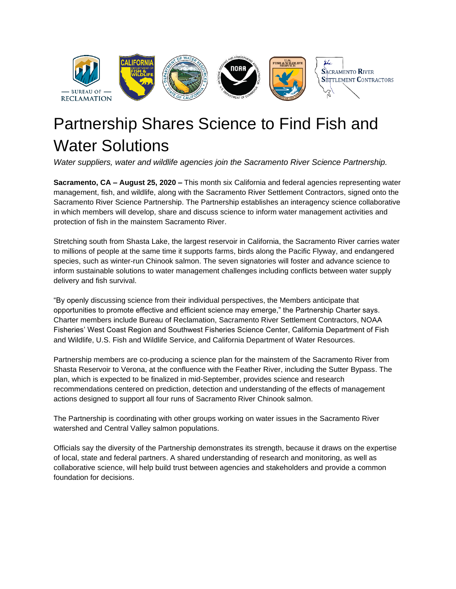

## Partnership Shares Science to Find Fish and Water Solutions

*Water suppliers, water and wildlife agencies join the Sacramento River Science Partnership.*

**Sacramento, CA – August 25, 2020 –** This month six California and federal agencies representing water management, fish, and wildlife, along with the Sacramento River Settlement Contractors, signed onto the Sacramento River Science Partnership. The Partnership establishes an interagency science collaborative in which members will develop, share and discuss science to inform water management activities and protection of fish in the mainstem Sacramento River.

Stretching south from Shasta Lake, the largest reservoir in California, the Sacramento River carries water to millions of people at the same time it supports farms, birds along the Pacific Flyway, and endangered species, such as winter-run Chinook salmon. The seven signatories will foster and advance science to inform sustainable solutions to water management challenges including conflicts between water supply delivery and fish survival.

"By openly discussing science from their individual perspectives, the Members anticipate that opportunities to promote effective and efficient science may emerge," the Partnership Charter says. Charter members include Bureau of Reclamation, Sacramento River Settlement Contractors, NOAA Fisheries' West Coast Region and Southwest Fisheries Science Center, California Department of Fish and Wildlife, U.S. Fish and Wildlife Service, and California Department of Water Resources.

Partnership members are co-producing a science plan for the mainstem of the Sacramento River from Shasta Reservoir to Verona, at the confluence with the Feather River, including the Sutter Bypass. The plan, which is expected to be finalized in mid-September, provides science and research recommendations centered on prediction, detection and understanding of the effects of management actions designed to support all four runs of Sacramento River Chinook salmon.

The Partnership is coordinating with other groups working on water issues in the Sacramento River watershed and Central Valley salmon populations.

Officials say the diversity of the Partnership demonstrates its strength, because it draws on the expertise of local, state and federal partners. A shared understanding of research and monitoring, as well as collaborative science, will help build trust between agencies and stakeholders and provide a common foundation for decisions.